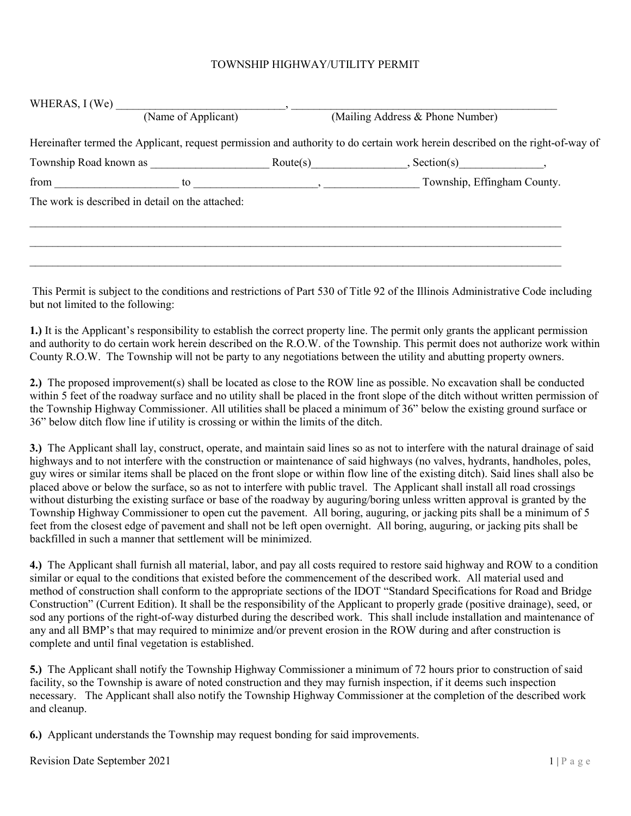## TOWNSHIP HIGHWAY/UTILITY PERMIT

| WHERAS, $I$ (We)                                 |                                                                                                                               |                                           |  |
|--------------------------------------------------|-------------------------------------------------------------------------------------------------------------------------------|-------------------------------------------|--|
|                                                  | (Name of Applicant)                                                                                                           | (Mailing Address & Phone Number)          |  |
|                                                  | Hereinafter termed the Applicant, request permission and authority to do certain work herein described on the right-of-way of |                                           |  |
|                                                  |                                                                                                                               | $\text{Route}(s)$ , $\text{Section}(s)$ , |  |
| from $\qquad \qquad$                             | $\overline{\phantom{a}}$<br>to                                                                                                | Township, Effingham County.               |  |
| The work is described in detail on the attached: |                                                                                                                               |                                           |  |
|                                                  |                                                                                                                               |                                           |  |
|                                                  |                                                                                                                               |                                           |  |
|                                                  |                                                                                                                               |                                           |  |

This Permit is subject to the conditions and restrictions of Part 530 of Title 92 of the Illinois Administrative Code including but not limited to the following:

1.) It is the Applicant's responsibility to establish the correct property line. The permit only grants the applicant permission and authority to do certain work herein described on the R.O.W. of the Township. This permit does not authorize work within County R.O.W. The Township will not be party to any negotiations between the utility and abutting property owners.

2.) The proposed improvement(s) shall be located as close to the ROW line as possible. No excavation shall be conducted within 5 feet of the roadway surface and no utility shall be placed in the front slope of the ditch without written permission of the Township Highway Commissioner. All utilities shall be placed a minimum of 36" below the existing ground surface or 36" below ditch flow line if utility is crossing or within the limits of the ditch.

3.) The Applicant shall lay, construct, operate, and maintain said lines so as not to interfere with the natural drainage of said highways and to not interfere with the construction or maintenance of said highways (no valves, hydrants, handholes, poles, guy wires or similar items shall be placed on the front slope or within flow line of the existing ditch). Said lines shall also be placed above or below the surface, so as not to interfere with public travel. The Applicant shall install all road crossings without disturbing the existing surface or base of the roadway by auguring/boring unless written approval is granted by the Township Highway Commissioner to open cut the pavement. All boring, auguring, or jacking pits shall be a minimum of 5 feet from the closest edge of pavement and shall not be left open overnight. All boring, auguring, or jacking pits shall be backfilled in such a manner that settlement will be minimized.

4.) The Applicant shall furnish all material, labor, and pay all costs required to restore said highway and ROW to a condition similar or equal to the conditions that existed before the commencement of the described work. All material used and method of construction shall conform to the appropriate sections of the IDOT "Standard Specifications for Road and Bridge Construction" (Current Edition). It shall be the responsibility of the Applicant to properly grade (positive drainage), seed, or sod any portions of the right-of-way disturbed during the described work. This shall include installation and maintenance of any and all BMP's that may required to minimize and/or prevent erosion in the ROW during and after construction is complete and until final vegetation is established.

5.) The Applicant shall notify the Township Highway Commissioner a minimum of 72 hours prior to construction of said facility, so the Township is aware of noted construction and they may furnish inspection, if it deems such inspection necessary. The Applicant shall also notify the Township Highway Commissioner at the completion of the described work and cleanup.

6.) Applicant understands the Township may request bonding for said improvements.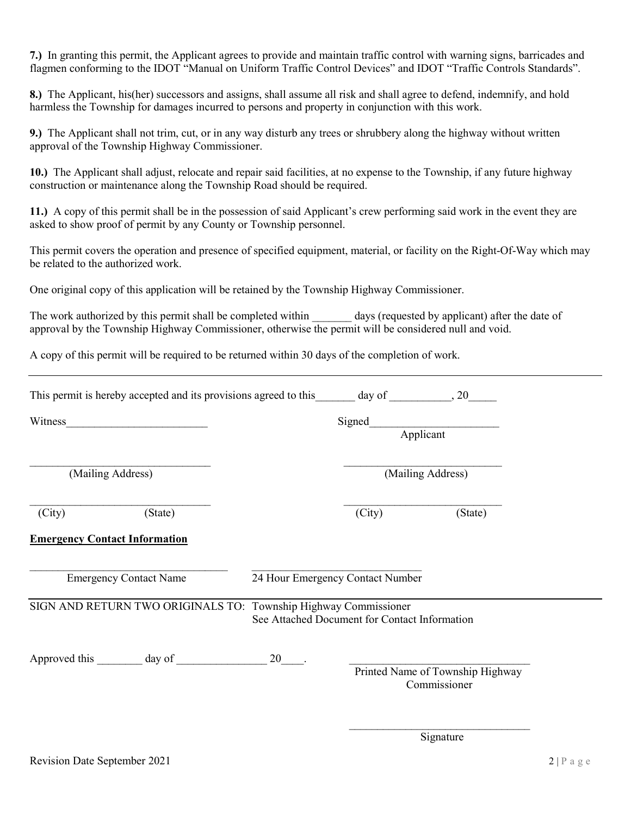7.) In granting this permit, the Applicant agrees to provide and maintain traffic control with warning signs, barricades and flagmen conforming to the IDOT "Manual on Uniform Traffic Control Devices" and IDOT "Traffic Controls Standards".

8.) The Applicant, his(her) successors and assigns, shall assume all risk and shall agree to defend, indemnify, and hold harmless the Township for damages incurred to persons and property in conjunction with this work.

9.) The Applicant shall not trim, cut, or in any way disturb any trees or shrubbery along the highway without written approval of the Township Highway Commissioner.

10.) The Applicant shall adjust, relocate and repair said facilities, at no expense to the Township, if any future highway construction or maintenance along the Township Road should be required.

11.) A copy of this permit shall be in the possession of said Applicant's crew performing said work in the event they are asked to show proof of permit by any County or Township personnel.

This permit covers the operation and presence of specified equipment, material, or facility on the Right-Of-Way which may be related to the authorized work.

One original copy of this application will be retained by the Township Highway Commissioner.

The work authorized by this permit shall be completed within days (requested by applicant) after the date of approval by the Township Highway Commissioner, otherwise the permit will be considered null and void.

A copy of this permit will be required to be returned within 30 days of the completion of work.

| This permit is hereby accepted and its provisions agreed to this day of , 20 |      |                                               |                                                  |  |  |  |
|------------------------------------------------------------------------------|------|-----------------------------------------------|--------------------------------------------------|--|--|--|
| Witness                                                                      |      | Signed                                        | Applicant                                        |  |  |  |
| (Mailing Address)                                                            |      |                                               | (Mailing Address)                                |  |  |  |
| (State)<br>(City)                                                            |      | (City)                                        | (State)                                          |  |  |  |
| <b>Emergency Contact Information</b>                                         |      |                                               |                                                  |  |  |  |
| <b>Emergency Contact Name</b>                                                |      | 24 Hour Emergency Contact Number              |                                                  |  |  |  |
| SIGN AND RETURN TWO ORIGINALS TO: Township Highway Commissioner              |      | See Attached Document for Contact Information |                                                  |  |  |  |
| Approved this day of                                                         | 20 . |                                               | Printed Name of Township Highway<br>Commissioner |  |  |  |

Signature Signature